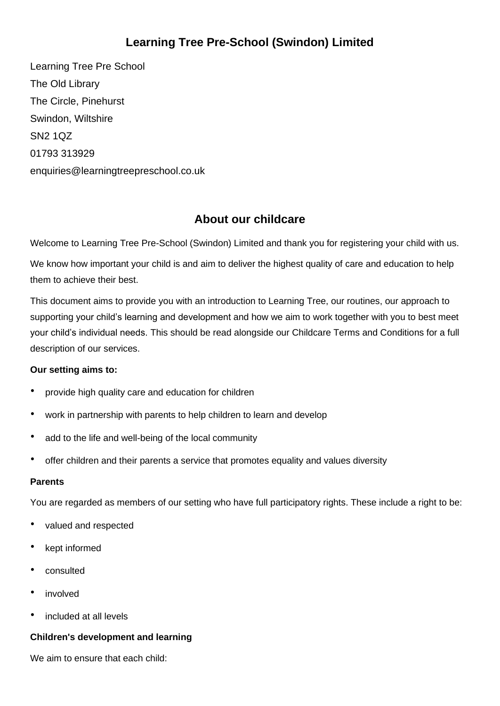# **Learning Tree Pre-School (Swindon) Limited**

Learning Tree Pre School The Old Library The Circle, Pinehurst Swindon, Wiltshire SN2 1QZ 01793 313929 enquiries@learningtreepreschool.co.uk

## **About our childcare**

Welcome to Learning Tree Pre-School (Swindon) Limited and thank you for registering your child with us.

We know how important your child is and aim to deliver the highest quality of care and education to help them to achieve their best.

This document aims to provide you with an introduction to Learning Tree, our routines, our approach to supporting your child's learning and development and how we aim to work together with you to best meet your child's individual needs. This should be read alongside our Childcare Terms and Conditions for a full description of our services.

## **Our setting aims to:**

- provide high quality care and education for children
- work in partnership with parents to help children to learn and develop
- add to the life and well-being of the local community
- offer children and their parents a service that promotes equality and values diversity

#### **Parents**

You are regarded as members of our setting who have full participatory rights. These include a right to be:

- valued and respected
- kept informed
- consulted
- involved
- included at all levels

#### **Children's development and learning**

We aim to ensure that each child: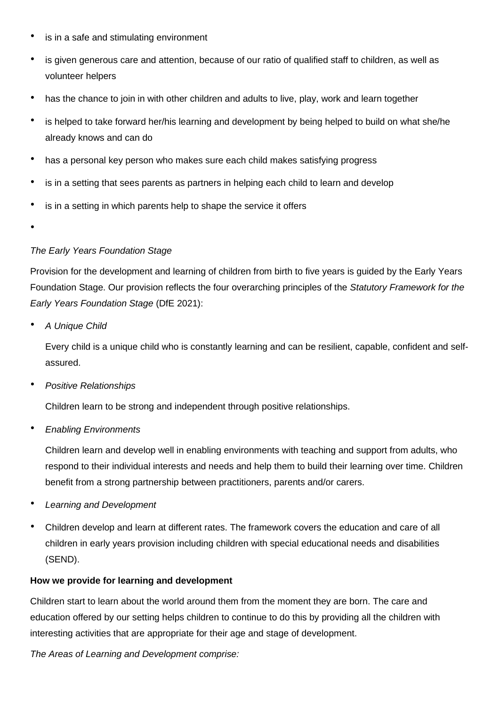- is in a safe and stimulating environment
- is given generous care and attention, because of our ratio of qualified staff to children, as well as volunteer helpers
- has the chance to join in with other children and adults to live, play, work and learn together
- is helped to take forward her/his learning and development by being helped to build on what she/he already knows and can do
- has a personal key person who makes sure each child makes satisfying progress
- is in a setting that sees parents as partners in helping each child to learn and develop
- is in a setting in which parents help to shape the service it offers
- •

#### *The Early Years Foundation Stage*

Provision for the development and learning of children from birth to five years is guided by the Early Years Foundation Stage. Our provision reflects the four overarching principles of the *Statutory Framework for the Early Years Foundation Stage* (DfE 2021):

• *A Unique Child*

Every child is a unique child who is constantly learning and can be resilient, capable, confident and selfassured.

• *Positive Relationships*

Children learn to be strong and independent through positive relationships.

• *Enabling Environments*

Children learn and develop well in enabling environments with teaching and support from adults, who respond to their individual interests and needs and help them to build their learning over time. Children benefit from a strong partnership between practitioners, parents and/or carers.

- *Learning and Development*
- Children develop and learn at different rates. The framework covers the education and care of all children in early years provision including children with special educational needs and disabilities (SEND).

#### **How we provide for learning and development**

Children start to learn about the world around them from the moment they are born. The care and education offered by our setting helps children to continue to do this by providing all the children with interesting activities that are appropriate for their age and stage of development.

*The Areas of Learning and Development comprise:*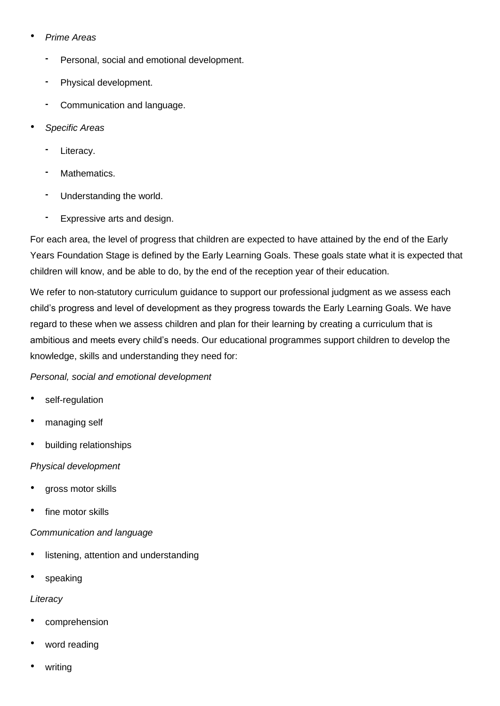## • *Prime Areas*

- **-** Personal, social and emotional development.
- **-** Physical development.
- **-** Communication and language.
- *Specific Areas*
	- **-** Literacy.
	- **-** Mathematics.
	- **-** Understanding the world.
	- **-** Expressive arts and design.

For each area, the level of progress that children are expected to have attained by the end of the Early Years Foundation Stage is defined by the Early Learning Goals. These goals state what it is expected that children will know, and be able to do, by the end of the reception year of their education.

We refer to non-statutory curriculum guidance to support our professional judgment as we assess each child's progress and level of development as they progress towards the Early Learning Goals. We have regard to these when we assess children and plan for their learning by creating a curriculum that is ambitious and meets every child's needs. Our educational programmes support children to develop the knowledge, skills and understanding they need for:

## *Personal, social and emotional development*

- self-regulation
- managing self
- building relationships

## *Physical development*

- gross motor skills
- fine motor skills

## *Communication and language*

- listening, attention and understanding
- speaking

## *Literacy*

- comprehension
- word reading
- writing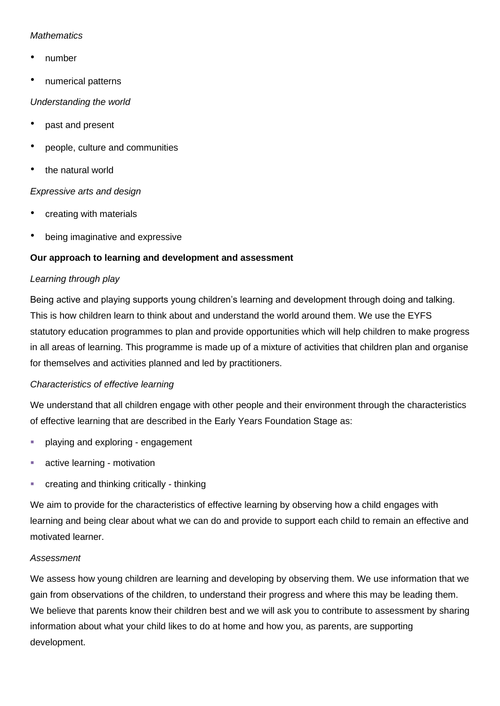#### *Mathematics*

- number
- numerical patterns

#### *Understanding the world*

- past and present
- people, culture and communities
- the natural world

## *Expressive arts and design*

- creating with materials
- being imaginative and expressive

## **Our approach to learning and development and assessment**

## *Learning through play*

Being active and playing supports young children's learning and development through doing and talking. This is how children learn to think about and understand the world around them. We use the EYFS statutory education programmes to plan and provide opportunities which will help children to make progress in all areas of learning. This programme is made up of a mixture of activities that children plan and organise for themselves and activities planned and led by practitioners.

## *Characteristics of effective learning*

We understand that all children engage with other people and their environment through the characteristics of effective learning that are described in the Early Years Foundation Stage as:

- playing and exploring engagement
- active learning motivation
- creating and thinking critically thinking

We aim to provide for the characteristics of effective learning by observing how a child engages with learning and being clear about what we can do and provide to support each child to remain an effective and motivated learner.

## *Assessment*

We assess how young children are learning and developing by observing them. We use information that we gain from observations of the children, to understand their progress and where this may be leading them. We believe that parents know their children best and we will ask you to contribute to assessment by sharing information about what your child likes to do at home and how you, as parents, are supporting development.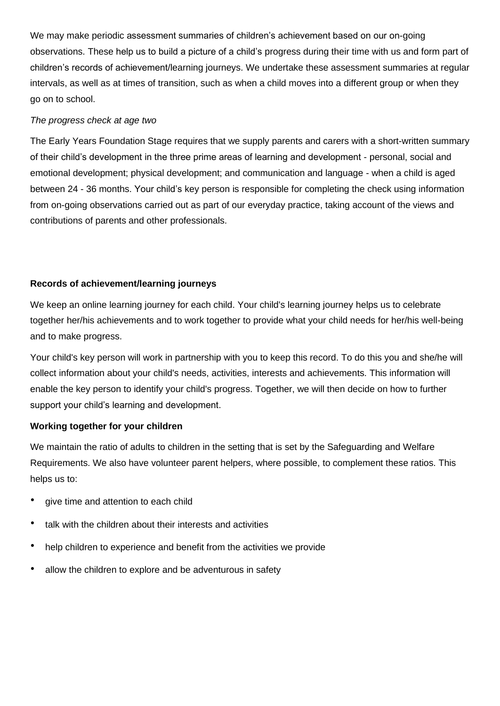We may make periodic assessment summaries of children's achievement based on our on-going observations. These help us to build a picture of a child's progress during their time with us and form part of children's records of achievement/learning journeys. We undertake these assessment summaries at regular intervals, as well as at times of transition, such as when a child moves into a different group or when they go on to school.

#### *The progress check at age two*

The Early Years Foundation Stage requires that we supply parents and carers with a short-written summary of their child's development in the three prime areas of learning and development - personal, social and emotional development; physical development; and communication and language - when a child is aged between 24 - 36 months. Your child's key person is responsible for completing the check using information from on-going observations carried out as part of our everyday practice, taking account of the views and contributions of parents and other professionals.

## **Records of achievement/learning journeys**

We keep an online learning journey for each child. Your child's learning journey helps us to celebrate together her/his achievements and to work together to provide what your child needs for her/his well-being and to make progress.

Your child's key person will work in partnership with you to keep this record. To do this you and she/he will collect information about your child's needs, activities, interests and achievements. This information will enable the key person to identify your child's progress. Together, we will then decide on how to further support your child's learning and development.

## **Working together for your children**

We maintain the ratio of adults to children in the setting that is set by the Safeguarding and Welfare Requirements. We also have volunteer parent helpers, where possible, to complement these ratios. This helps us to:

- give time and attention to each child
- talk with the children about their interests and activities
- help children to experience and benefit from the activities we provide
- allow the children to explore and be adventurous in safety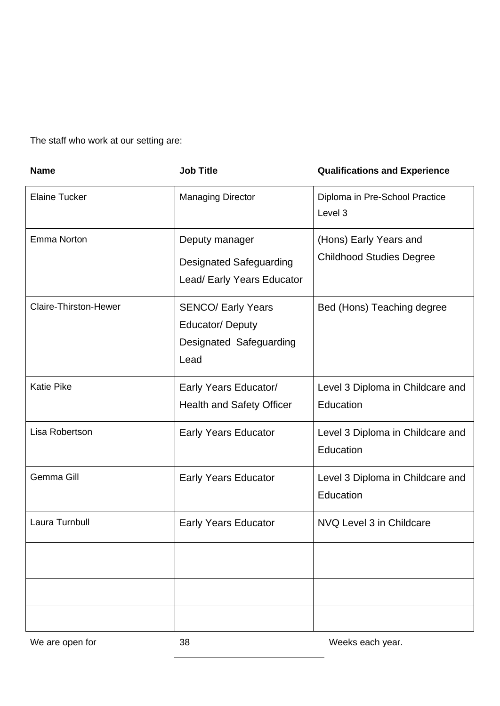The staff who work at our setting are:

| <b>Name</b>                  | <b>Job Title</b>                                                                | <b>Qualifications and Experience</b>                      |
|------------------------------|---------------------------------------------------------------------------------|-----------------------------------------------------------|
| <b>Elaine Tucker</b>         | <b>Managing Director</b>                                                        | Diploma in Pre-School Practice<br>Level 3                 |
| Emma Norton                  | Deputy manager<br><b>Designated Safeguarding</b><br>Lead/ Early Years Educator  | (Hons) Early Years and<br><b>Childhood Studies Degree</b> |
| <b>Claire-Thirston-Hewer</b> | <b>SENCO/ Early Years</b><br>Educator/Deputy<br>Designated Safeguarding<br>Lead | Bed (Hons) Teaching degree                                |
| <b>Katie Pike</b>            | Early Years Educator/<br><b>Health and Safety Officer</b>                       | Level 3 Diploma in Childcare and<br>Education             |
| Lisa Robertson               | <b>Early Years Educator</b>                                                     | Level 3 Diploma in Childcare and<br>Education             |
| Gemma Gill                   | <b>Early Years Educator</b>                                                     | Level 3 Diploma in Childcare and<br>Education             |
| Laura Turnbull               | <b>Early Years Educator</b>                                                     | NVQ Level 3 in Childcare                                  |
|                              |                                                                                 |                                                           |
|                              |                                                                                 |                                                           |
|                              |                                                                                 |                                                           |

We are open for The State of the 38 Weeks each year.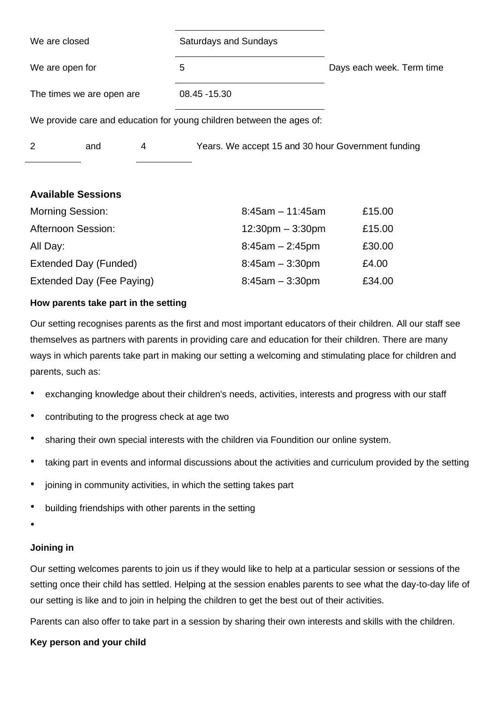| We are closed                                                         |                           |   | <b>Saturdays and Sundays</b>                       |                           |  |  |
|-----------------------------------------------------------------------|---------------------------|---|----------------------------------------------------|---------------------------|--|--|
| We are open for                                                       |                           |   | 5                                                  | Days each week. Term time |  |  |
|                                                                       | The times we are open are |   | 08.45 - 15.30                                      |                           |  |  |
| We provide care and education for young children between the ages of: |                           |   |                                                    |                           |  |  |
| 2                                                                     | and                       | 4 | Years. We accept 15 and 30 hour Government funding |                           |  |  |
|                                                                       |                           |   |                                                    |                           |  |  |

## **Available Sessions**

| <b>Morning Session:</b>   | $8:45am - 11:45am$                 | £15.00 |
|---------------------------|------------------------------------|--------|
| <b>Afternoon Session:</b> | $12:30 \text{pm} - 3:30 \text{pm}$ | £15.00 |
| All Day:                  | $8:45am - 2:45pm$                  | £30.00 |
| Extended Day (Funded)     | $8:45am - 3:30pm$                  | £4.00  |
| Extended Day (Fee Paying) | $8:45am - 3:30pm$                  | £34.00 |

## **How parents take part in the setting**

Our setting recognises parents as the first and most important educators of their children. All our staff see themselves as partners with parents in providing care and education for their children. There are many ways in which parents take part in making our setting a welcoming and stimulating place for children and parents, such as:

- exchanging knowledge about their children's needs, activities, interests and progress with our staff
- contributing to the progress check at age two
- sharing their own special interests with the children via Foundition our online system.
- taking part in events and informal discussions about the activities and curriculum provided by the setting
- joining in community activities, in which the setting takes part
- building friendships with other parents in the setting
- •

## **Joining in**

Our setting welcomes parents to join us if they would like to help at a particular session or sessions of the setting once their child has settled. Helping at the session enables parents to see what the day-to-day life of our setting is like and to join in helping the children to get the best out of their activities.

Parents can also offer to take part in a session by sharing their own interests and skills with the children.

## **Key person and your child**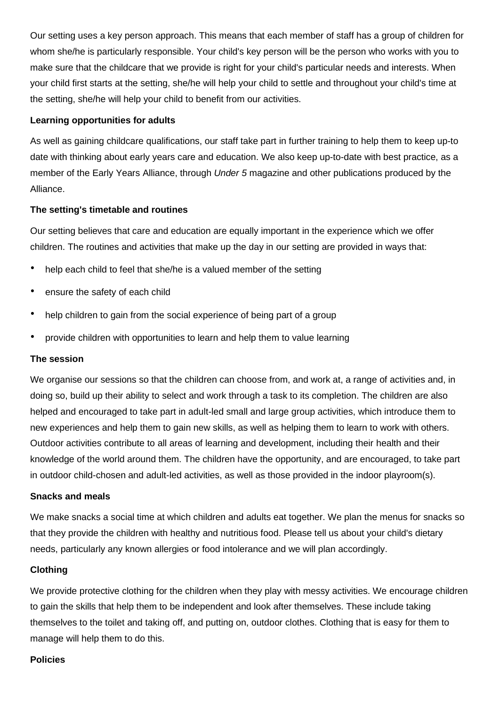Our setting uses a key person approach. This means that each member of staff has a group of children for whom she/he is particularly responsible. Your child's key person will be the person who works with you to make sure that the childcare that we provide is right for your child's particular needs and interests. When your child first starts at the setting, she/he will help your child to settle and throughout your child's time at the setting, she/he will help your child to benefit from our activities.

#### **Learning opportunities for adults**

As well as gaining childcare qualifications, our staff take part in further training to help them to keep up-to date with thinking about early years care and education. We also keep up-to-date with best practice, as a member of the Early Years Alliance, through *Under 5* magazine and other publications produced by the Alliance.

#### **The setting's timetable and routines**

Our setting believes that care and education are equally important in the experience which we offer children. The routines and activities that make up the day in our setting are provided in ways that:

- help each child to feel that she/he is a valued member of the setting
- ensure the safety of each child
- help children to gain from the social experience of being part of a group
- provide children with opportunities to learn and help them to value learning

#### **The session**

We organise our sessions so that the children can choose from, and work at, a range of activities and, in doing so, build up their ability to select and work through a task to its completion. The children are also helped and encouraged to take part in adult-led small and large group activities, which introduce them to new experiences and help them to gain new skills, as well as helping them to learn to work with others. Outdoor activities contribute to all areas of learning and development, including their health and their knowledge of the world around them. The children have the opportunity, and are encouraged, to take part in outdoor child-chosen and adult-led activities, as well as those provided in the indoor playroom(s).

#### **Snacks and meals**

We make snacks a social time at which children and adults eat together. We plan the menus for snacks so that they provide the children with healthy and nutritious food. Please tell us about your child's dietary needs, particularly any known allergies or food intolerance and we will plan accordingly.

#### **Clothing**

We provide protective clothing for the children when they play with messy activities. We encourage children to gain the skills that help them to be independent and look after themselves. These include taking themselves to the toilet and taking off, and putting on, outdoor clothes. Clothing that is easy for them to manage will help them to do this.

#### **Policies**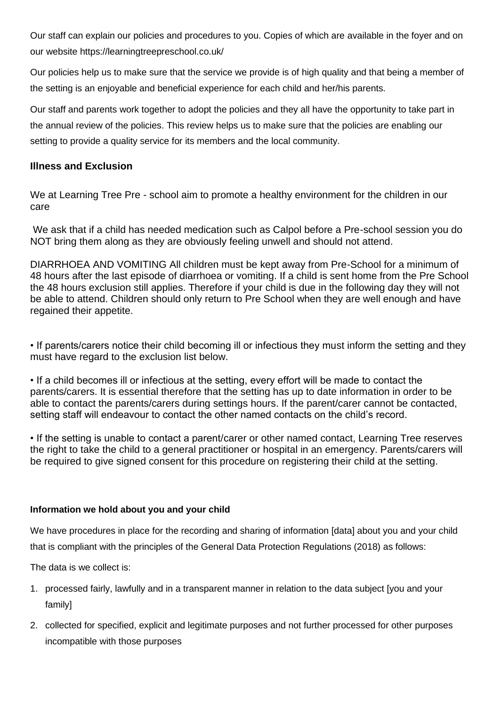Our staff can explain our policies and procedures to you. Copies of which are available in the foyer and on our website https://learningtreepreschool.co.uk/

Our policies help us to make sure that the service we provide is of high quality and that being a member of the setting is an enjoyable and beneficial experience for each child and her/his parents.

Our staff and parents work together to adopt the policies and they all have the opportunity to take part in the annual review of the policies. This review helps us to make sure that the policies are enabling our setting to provide a quality service for its members and the local community.

## **Illness and Exclusion**

We at Learning Tree Pre - school aim to promote a healthy environment for the children in our care

We ask that if a child has needed medication such as Calpol before a Pre-school session you do NOT bring them along as they are obviously feeling unwell and should not attend.

DIARRHOEA AND VOMITING All children must be kept away from Pre-School for a minimum of 48 hours after the last episode of diarrhoea or vomiting. If a child is sent home from the Pre School the 48 hours exclusion still applies. Therefore if your child is due in the following day they will not be able to attend. Children should only return to Pre School when they are well enough and have regained their appetite.

• If parents/carers notice their child becoming ill or infectious they must inform the setting and they must have regard to the exclusion list below.

• If a child becomes ill or infectious at the setting, every effort will be made to contact the parents/carers. It is essential therefore that the setting has up to date information in order to be able to contact the parents/carers during settings hours. If the parent/carer cannot be contacted, setting staff will endeavour to contact the other named contacts on the child's record.

• If the setting is unable to contact a parent/carer or other named contact, Learning Tree reserves the right to take the child to a general practitioner or hospital in an emergency. Parents/carers will be required to give signed consent for this procedure on registering their child at the setting.

#### **Information we hold about you and your child**

We have procedures in place for the recording and sharing of information [data] about you and your child that is compliant with the principles of the General Data Protection Regulations (2018) as follows:

The data is we collect is:

- 1. processed fairly, lawfully and in a transparent manner in relation to the data subject [you and your family]
- 2. collected for specified, explicit and legitimate purposes and not further processed for other purposes incompatible with those purposes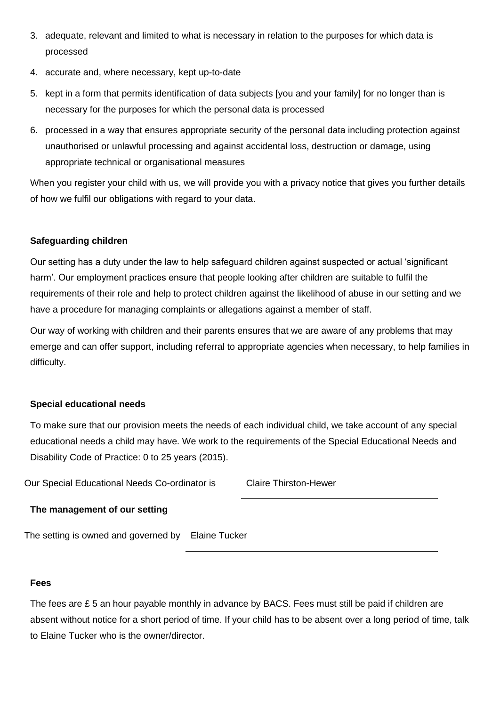- 3. adequate, relevant and limited to what is necessary in relation to the purposes for which data is processed
- 4. accurate and, where necessary, kept up-to-date
- 5. kept in a form that permits identification of data subjects [you and your family] for no longer than is necessary for the purposes for which the personal data is processed
- 6. processed in a way that ensures appropriate security of the personal data including protection against unauthorised or unlawful processing and against accidental loss, destruction or damage, using appropriate technical or organisational measures

When you register your child with us, we will provide you with a privacy notice that gives you further details of how we fulfil our obligations with regard to your data.

## **Safeguarding children**

Our setting has a duty under the law to help safeguard children against suspected or actual 'significant harm'. Our employment practices ensure that people looking after children are suitable to fulfil the requirements of their role and help to protect children against the likelihood of abuse in our setting and we have a procedure for managing complaints or allegations against a member of staff.

Our way of working with children and their parents ensures that we are aware of any problems that may emerge and can offer support, including referral to appropriate agencies when necessary, to help families in difficulty.

#### **Special educational needs**

To make sure that our provision meets the needs of each individual child, we take account of any special educational needs a child may have. We work to the requirements of the Special Educational Needs and Disability Code of Practice: 0 to 25 years (2015).

Our Special Educational Needs Co-ordinator is Claire Thirston-Hewer

#### **The management of our setting**

The setting is owned and governed by Elaine Tucker

#### **Fees**

The fees are  $E$  5 an hour payable monthly in advance by BACS. Fees must still be paid if children are absent without notice for a short period of time. If your child has to be absent over a long period of time, talk to Elaine Tucker who is the owner/director.